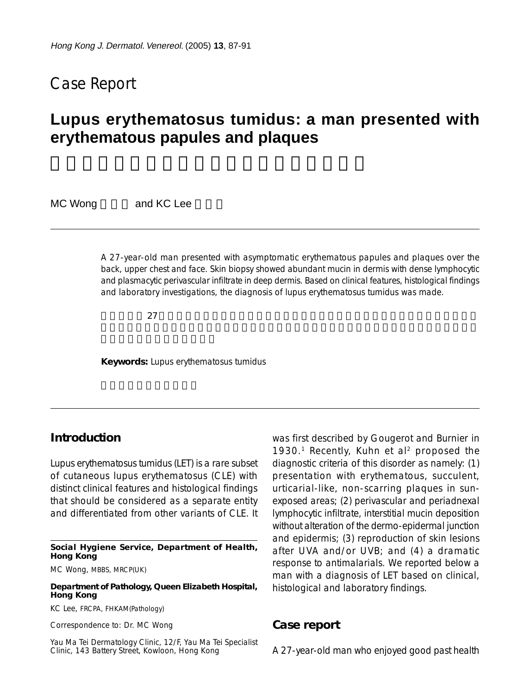## Case Report

# **Lupus erythematosus tumidus: a man presented with erythematous papules and plaques**

MC Wong and KC Lee

A 27-year-old man presented with asymptomatic erythematous papules and plaques over the back, upper chest and face. Skin biopsy showed abundant mucin in dermis with dense lymphocytic and plasmacytic perivascular infiltrate in deep dermis. Based on clinical features, histological findings and laboratory investigations, the diagnosis of lupus erythematosus tumidus was made.

 $27$ 

**Keywords:** Lupus erythematosus tumidus

### **Introduction**

Lupus erythematosus tumidus (LET) is a rare subset of cutaneous lupus erythematosus (CLE) with distinct clinical features and histological findings that should be considered as a separate entity and differentiated from other variants of CLE. It

**Social Hygiene Service, Department of Health, Hong Kong**

MC Wong, MBBS, MRCP(UK)

#### **Department of Pathology, Queen Elizabeth Hospital, Hong Kong**

KC Lee, FRCPA, FHKAM(Pathology)

Correspondence to: Dr. MC Wong

Yau Ma Tei Dermatology Clinic, 12/F, Yau Ma Tei Specialist Clinic, 143 Battery Street, Kowloon, Hong Kong

was first described by Gougerot and Burnier in 1930.<sup>1</sup> Recently, Kuhn et al<sup>2</sup> proposed the diagnostic criteria of this disorder as namely: (1) presentation with erythematous, succulent, urticarial-like, non-scarring plaques in sunexposed areas; (2) perivascular and periadnexal lymphocytic infiltrate, interstitial mucin deposition without alteration of the dermo-epidermal junction and epidermis; (3) reproduction of skin lesions after UVA and/or UVB; and (4) a dramatic response to antimalarials. We reported below a man with a diagnosis of LET based on clinical, histological and laboratory findings.

### **Case report**

A 27-year-old man who enjoyed good past health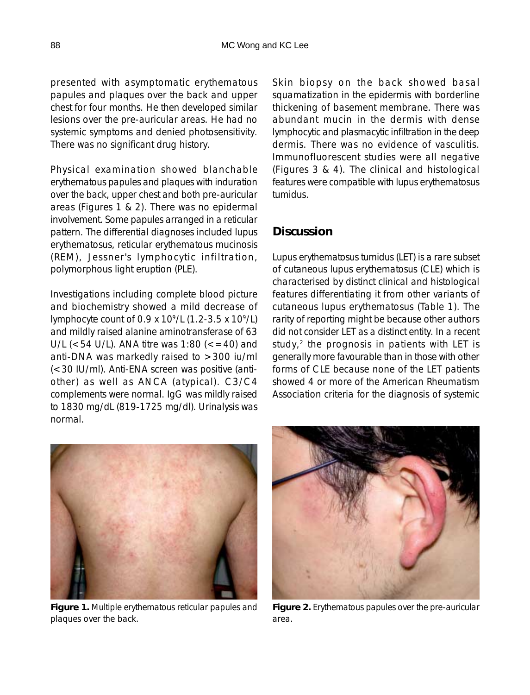presented with asymptomatic erythematous papules and plaques over the back and upper chest for four months. He then developed similar lesions over the pre-auricular areas. He had no systemic symptoms and denied photosensitivity. There was no significant drug history.

Physical examination showed blanchable erythematous papules and plaques with induration over the back, upper chest and both pre-auricular areas (Figures 1 & 2). There was no epidermal involvement. Some papules arranged in a reticular pattern. The differential diagnoses included lupus erythematosus, reticular erythematous mucinosis (REM), Jessner's lymphocytic infiltration, polymorphous light eruption (PLE).

Investigations including complete blood picture and biochemistry showed a mild decrease of lymphocyte count of 0.9 x 109/L (1.2-3.5 x 109/L) and mildly raised alanine aminotransferase of 63 U/L ( $<$  54 U/L). ANA titre was 1:80 ( $<$  = 40) and anti-DNA was markedly raised to >300 iu/ml (<30 IU/ml). Anti-ENA screen was positive (antiother) as well as ANCA (atypical). C3/C4 complements were normal. IgG was mildly raised to 1830 mg/dL (819-1725 mg/dl). Urinalysis was normal.

Skin biopsy on the back showed basal squamatization in the epidermis with borderline thickening of basement membrane. There was abundant mucin in the dermis with dense lymphocytic and plasmacytic infiltration in the deep dermis. There was no evidence of vasculitis. Immunofluorescent studies were all negative (Figures 3 & 4). The clinical and histological features were compatible with lupus erythematosus tumidus.

## **Discussion**

Lupus erythematosus tumidus (LET) is a rare subset of cutaneous lupus erythematosus (CLE) which is characterised by distinct clinical and histological features differentiating it from other variants of cutaneous lupus erythematosus (Table 1). The rarity of reporting might be because other authors did not consider LET as a distinct entity. In a recent study,<sup>2</sup> the prognosis in patients with LET is generally more favourable than in those with other forms of CLE because none of the LET patients showed 4 or more of the American Rheumatism Association criteria for the diagnosis of systemic



**Figure 1.** Multiple erythematous reticular papules and plaques over the back.



**Figure 2.** Erythematous papules over the pre-auricular area.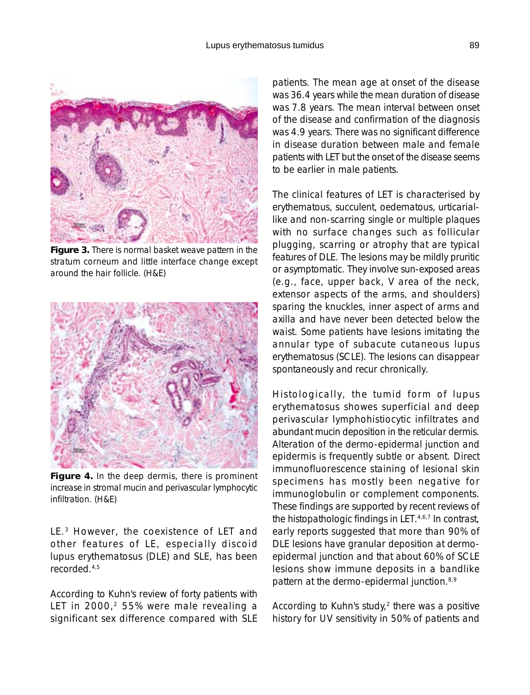

**Figure 3.** There is normal basket weave pattern in the stratum corneum and little interface change except around the hair follicle. (H&E)



**Figure 4.** In the deep dermis, there is prominent increase in stromal mucin and perivascular lymphocytic infiltration. (H&E)

LE.<sup>3</sup> However, the coexistence of LET and other features of LE, especially discoid lupus erythematosus (DLE) and SLE, has been recorded.4,5

According to Kuhn's review of forty patients with LET in 2000,<sup>2</sup> 55% were male revealing a significant sex difference compared with SLE

patients. The mean age at onset of the disease was 36.4 years while the mean duration of disease was 7.8 years. The mean interval between onset of the disease and confirmation of the diagnosis was 4.9 years. There was no significant difference in disease duration between male and female patients with LET but the onset of the disease seems to be earlier in male patients.

The clinical features of LET is characterised by erythematous, succulent, oedematous, urticariallike and non-scarring single or multiple plaques with no surface changes such as follicular plugging, scarring or atrophy that are typical features of DLE. The lesions may be mildly pruritic or asymptomatic. They involve sun-exposed areas (e.g., face, upper back, V area of the neck, extensor aspects of the arms, and shoulders) sparing the knuckles, inner aspect of arms and axilla and have never been detected below the waist. Some patients have lesions imitating the annular type of subacute cutaneous lupus erythematosus (SCLE). The lesions can disappear spontaneously and recur chronically.

Histologically, the tumid form of lupus erythematosus showes superficial and deep perivascular lymphohistiocytic infiltrates and abundant mucin deposition in the reticular dermis. Alteration of the dermo-epidermal junction and epidermis is frequently subtle or absent. Direct immunofluorescence staining of lesional skin specimens has mostly been negative for immunoglobulin or complement components. These findings are supported by recent reviews of the histopathologic findings in LET.<sup>4,6,7</sup> In contrast, early reports suggested that more than 90% of DLE lesions have granular deposition at dermoepidermal junction and that about 60% of SCLE lesions show immune deposits in a bandlike pattern at the dermo-epidermal junction.8,9

According to Kuhn's study, $2$  there was a positive history for UV sensitivity in 50% of patients and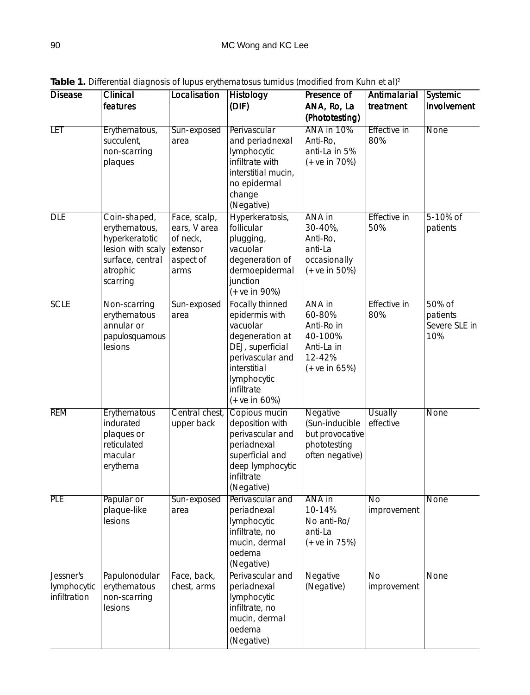Table 1. Differential diagnosis of lupus erythematosus tumidus (modified from Kuhn et al)<sup>2</sup>

| <b>Disease</b>                           | Clinical<br>features                                                                                             | Localisation                                                              | <b>Histology</b><br>(DIF)                                                                                                                                                      | Presence of<br>ANA, Ro, La<br>(Phototesting)                                        | Antimalarial<br>treatment      | Systemic<br>involvement                    |
|------------------------------------------|------------------------------------------------------------------------------------------------------------------|---------------------------------------------------------------------------|--------------------------------------------------------------------------------------------------------------------------------------------------------------------------------|-------------------------------------------------------------------------------------|--------------------------------|--------------------------------------------|
| <b>LET</b>                               | Erythematous,<br>succulent,<br>non-scarring<br>plaques                                                           | Sun-exposed<br>area                                                       | Perivascular<br>and periadnexal<br>lymphocytic<br>infiltrate with<br>interstitial mucin,<br>no epidermal<br>change<br>(Negative)                                               | ANA in 10%<br>Anti-Ro,<br>anti-La in 5%<br>$(+ve in 70%)$                           | <b>Effective in</b><br>80%     | <b>None</b>                                |
| <b>DLE</b>                               | Coin-shaped,<br>erythematous,<br>hyperkeratotic<br>lesion with scaly<br>surface, central<br>atrophic<br>scarring | Face, scalp,<br>ears, V area<br>of neck,<br>extensor<br>aspect of<br>arms | Hyperkeratosis,<br>follicular<br>plugging,<br>vacuolar<br>degeneration of<br>dermoepidermal<br>junction<br>$(+ve in 90%)$                                                      | ANA in<br>30-40%,<br>Anti-Ro,<br>anti-La<br>occasionally<br>$(+ve in 50%)$          | Effective in<br>50%            | 5-10% of<br>patients                       |
| <b>SCLE</b>                              | Non-scarring<br>erythematous<br>annular or<br>papulosquamous<br>lesions                                          | Sun-exposed<br>area                                                       | <b>Focally thinned</b><br>epidermis with<br>vacuolar<br>degeneration at<br>DEJ, superficial<br>perivascular and<br>interstitial<br>lymphocytic<br>infiltrate<br>$(+ve in 60%)$ | ANA in<br>60-80%<br>Anti-Ro in<br>40-100%<br>Anti-La in<br>12-42%<br>$(+ve in 65%)$ | <b>Effective in</b><br>80%     | 50% of<br>patients<br>Severe SLE in<br>10% |
| <b>REM</b>                               | Erythematous<br>indurated<br>plaques or<br>reticulated<br>macular<br>erythema                                    | Central chest,<br>upper back                                              | Copious mucin<br>deposition with<br>perivascular and<br>periadnexal<br>superficial and<br>deep lymphocytic<br>infiltrate<br>(Negative)                                         | Negative<br>(Sun-inducible<br>but provocative<br>phototesting<br>often negative)    | <b>Usually</b><br>effective    | <b>None</b>                                |
| <b>PLE</b>                               | Papular or<br>plaque-like<br>lesions                                                                             | Sun-exposed<br>area                                                       | Perivascular and<br>periadnexal<br>lymphocytic<br>infiltrate, no<br>mucin, dermal<br>oedema<br>(Negative)                                                                      | ANA in<br>10-14%<br>No anti-Ro/<br>anti-La<br>$(+ve in 75%)$                        | <b>No</b><br>improvement       | None                                       |
| Jessner's<br>lymphocytic<br>infiltration | Papulonodular<br>erythematous<br>non-scarring<br>lesions                                                         | Face, back,<br>chest, arms                                                | Perivascular and<br>periadnexal<br>lymphocytic<br>infiltrate, no<br>mucin, dermal<br>oedema<br>(Negative)                                                                      | <b>Negative</b><br>(Negative)                                                       | $\overline{No}$<br>improvement | <b>None</b>                                |